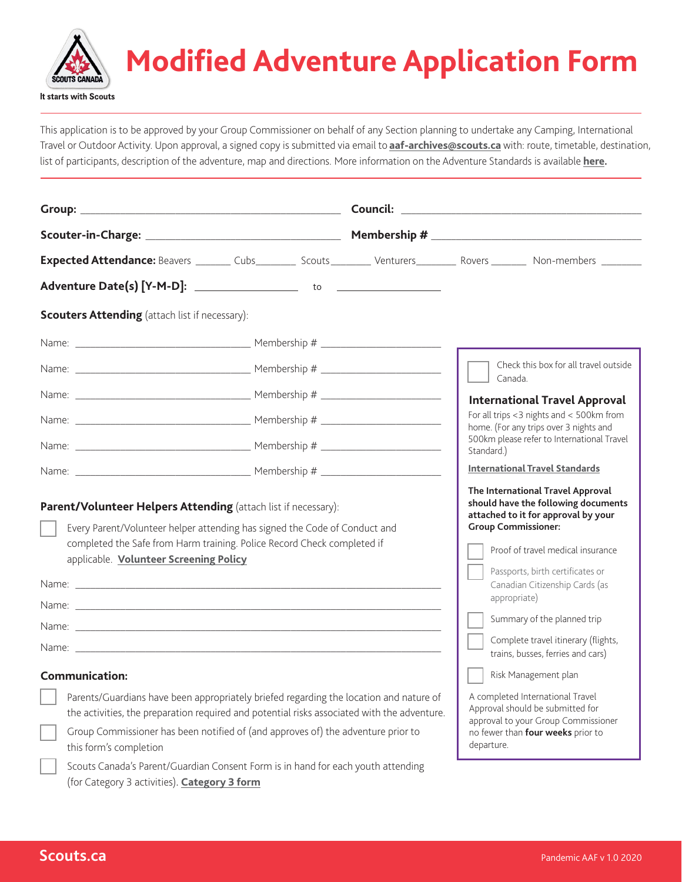

## **Modified Adventure Application Form**

This application is to be approved by your Group Commissioner on behalf of any Section planning to undertake any Camping, International Travel or Outdoor Activity. Upon approval, a signed copy is submitted via email to **[aaf-archives@scouts.ca](mailto:aaf-archives%40scouts.ca?subject=)** with: route, timetable, destination, list of participants, description of the adventure, map and directions. More information on the Adventure Standards is available **[here](https://www.scouts.ca/news-and-events/overview.html).**

| Check this box for all travel outside<br>Canada.<br><b>International Travel Approval</b><br>For all trips <3 nights and < 500km from<br>home. (For any trips over 3 nights and<br>500km please refer to International Travel<br>Standard.)<br><b>International Travel Standards</b><br>The International Travel Approval<br>should have the following documents<br>attached to it for approval by your<br><b>Group Commissioner:</b><br>Every Parent/Volunteer helper attending has signed the Code of Conduct and<br>completed the Safe from Harm training. Police Record Check completed if<br>Proof of travel medical insurance<br>applicable. Volunteer Screening Policy<br>Passports, birth certificates or<br>Canadian Citizenship Cards (as<br>appropriate)<br>Summary of the planned trip<br>Complete travel itinerary (flights,<br>trains, busses, ferries and cars)<br>Risk Management plan<br>A completed International Travel<br>Parents/Guardians have been appropriately briefed regarding the location and nature of<br>Approval should be submitted for<br>the activities, the preparation required and potential risks associated with the adventure.<br>approval to your Group Commissioner<br>Group Commissioner has been notified of (and approves of) the adventure prior to<br>no fewer than four weeks prior to<br>departure.<br>this form's completion |                                                                |  |  |  |  |  |  |  |
|--------------------------------------------------------------------------------------------------------------------------------------------------------------------------------------------------------------------------------------------------------------------------------------------------------------------------------------------------------------------------------------------------------------------------------------------------------------------------------------------------------------------------------------------------------------------------------------------------------------------------------------------------------------------------------------------------------------------------------------------------------------------------------------------------------------------------------------------------------------------------------------------------------------------------------------------------------------------------------------------------------------------------------------------------------------------------------------------------------------------------------------------------------------------------------------------------------------------------------------------------------------------------------------------------------------------------------------------------------------------------------|----------------------------------------------------------------|--|--|--|--|--|--|--|
| Expected Attendance: Beavers ________ Cubs__________ Scouts_________ Venturers_________ Rovers ________ Non-members ________                                                                                                                                                                                                                                                                                                                                                                                                                                                                                                                                                                                                                                                                                                                                                                                                                                                                                                                                                                                                                                                                                                                                                                                                                                                   |                                                                |  |  |  |  |  |  |  |
|                                                                                                                                                                                                                                                                                                                                                                                                                                                                                                                                                                                                                                                                                                                                                                                                                                                                                                                                                                                                                                                                                                                                                                                                                                                                                                                                                                                |                                                                |  |  |  |  |  |  |  |
|                                                                                                                                                                                                                                                                                                                                                                                                                                                                                                                                                                                                                                                                                                                                                                                                                                                                                                                                                                                                                                                                                                                                                                                                                                                                                                                                                                                |                                                                |  |  |  |  |  |  |  |
|                                                                                                                                                                                                                                                                                                                                                                                                                                                                                                                                                                                                                                                                                                                                                                                                                                                                                                                                                                                                                                                                                                                                                                                                                                                                                                                                                                                | <b>Scouters Attending</b> (attach list if necessary):          |  |  |  |  |  |  |  |
|                                                                                                                                                                                                                                                                                                                                                                                                                                                                                                                                                                                                                                                                                                                                                                                                                                                                                                                                                                                                                                                                                                                                                                                                                                                                                                                                                                                |                                                                |  |  |  |  |  |  |  |
|                                                                                                                                                                                                                                                                                                                                                                                                                                                                                                                                                                                                                                                                                                                                                                                                                                                                                                                                                                                                                                                                                                                                                                                                                                                                                                                                                                                |                                                                |  |  |  |  |  |  |  |
|                                                                                                                                                                                                                                                                                                                                                                                                                                                                                                                                                                                                                                                                                                                                                                                                                                                                                                                                                                                                                                                                                                                                                                                                                                                                                                                                                                                |                                                                |  |  |  |  |  |  |  |
|                                                                                                                                                                                                                                                                                                                                                                                                                                                                                                                                                                                                                                                                                                                                                                                                                                                                                                                                                                                                                                                                                                                                                                                                                                                                                                                                                                                |                                                                |  |  |  |  |  |  |  |
|                                                                                                                                                                                                                                                                                                                                                                                                                                                                                                                                                                                                                                                                                                                                                                                                                                                                                                                                                                                                                                                                                                                                                                                                                                                                                                                                                                                |                                                                |  |  |  |  |  |  |  |
|                                                                                                                                                                                                                                                                                                                                                                                                                                                                                                                                                                                                                                                                                                                                                                                                                                                                                                                                                                                                                                                                                                                                                                                                                                                                                                                                                                                |                                                                |  |  |  |  |  |  |  |
|                                                                                                                                                                                                                                                                                                                                                                                                                                                                                                                                                                                                                                                                                                                                                                                                                                                                                                                                                                                                                                                                                                                                                                                                                                                                                                                                                                                | Parent/Volunteer Helpers Attending (attach list if necessary): |  |  |  |  |  |  |  |
|                                                                                                                                                                                                                                                                                                                                                                                                                                                                                                                                                                                                                                                                                                                                                                                                                                                                                                                                                                                                                                                                                                                                                                                                                                                                                                                                                                                |                                                                |  |  |  |  |  |  |  |
|                                                                                                                                                                                                                                                                                                                                                                                                                                                                                                                                                                                                                                                                                                                                                                                                                                                                                                                                                                                                                                                                                                                                                                                                                                                                                                                                                                                |                                                                |  |  |  |  |  |  |  |
|                                                                                                                                                                                                                                                                                                                                                                                                                                                                                                                                                                                                                                                                                                                                                                                                                                                                                                                                                                                                                                                                                                                                                                                                                                                                                                                                                                                | Name: $\frac{1}{2}$                                            |  |  |  |  |  |  |  |
|                                                                                                                                                                                                                                                                                                                                                                                                                                                                                                                                                                                                                                                                                                                                                                                                                                                                                                                                                                                                                                                                                                                                                                                                                                                                                                                                                                                | <b>Communication:</b>                                          |  |  |  |  |  |  |  |
|                                                                                                                                                                                                                                                                                                                                                                                                                                                                                                                                                                                                                                                                                                                                                                                                                                                                                                                                                                                                                                                                                                                                                                                                                                                                                                                                                                                |                                                                |  |  |  |  |  |  |  |
| Scouts Canada's Parent/Guardian Consent Form is in hand for each youth attending                                                                                                                                                                                                                                                                                                                                                                                                                                                                                                                                                                                                                                                                                                                                                                                                                                                                                                                                                                                                                                                                                                                                                                                                                                                                                               |                                                                |  |  |  |  |  |  |  |

(for Category 3 activities). **[Category 3 form](http://Scoutsca.s3.amazonaws.com/2019/01/parent-guardian-consent-form.pdf)**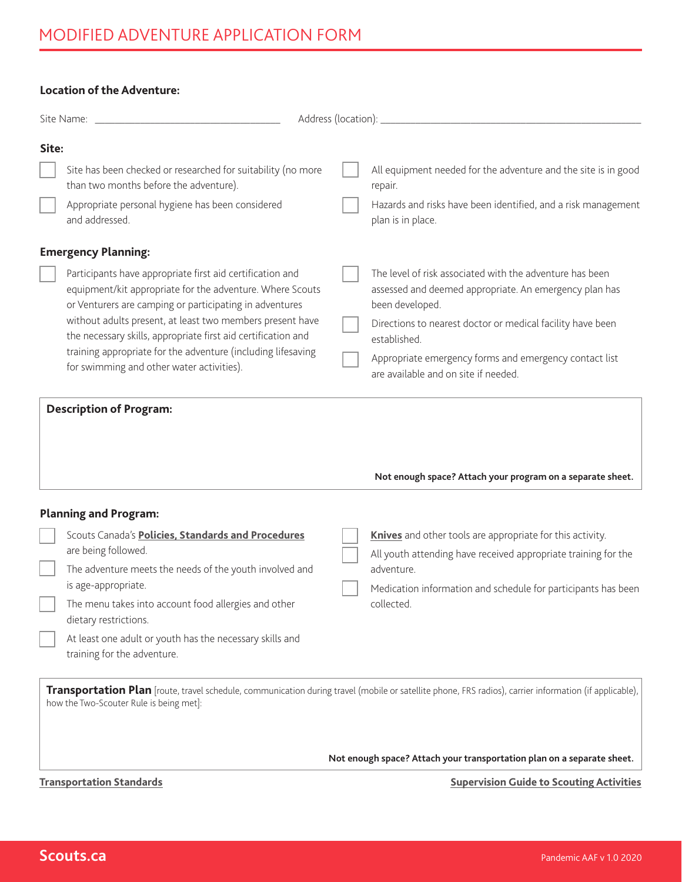## **Location of the Adventure:**

|       | Site Name: Name: Name and Site Name and Site Name and Site Name and Site Name and Site Name and Site Name and Site Name and Site Name and Site Name and Site Name and Site Name and Site Name and Site Name and Site Name and                                                                                                                                                                                                |  |                                                                                                                                                                                                                                                                                                                       |  |  |  |
|-------|------------------------------------------------------------------------------------------------------------------------------------------------------------------------------------------------------------------------------------------------------------------------------------------------------------------------------------------------------------------------------------------------------------------------------|--|-----------------------------------------------------------------------------------------------------------------------------------------------------------------------------------------------------------------------------------------------------------------------------------------------------------------------|--|--|--|
| Site: |                                                                                                                                                                                                                                                                                                                                                                                                                              |  |                                                                                                                                                                                                                                                                                                                       |  |  |  |
|       | Site has been checked or researched for suitability (no more<br>than two months before the adventure).                                                                                                                                                                                                                                                                                                                       |  | All equipment needed for the adventure and the site is in good<br>repair.                                                                                                                                                                                                                                             |  |  |  |
|       | Appropriate personal hygiene has been considered<br>and addressed.                                                                                                                                                                                                                                                                                                                                                           |  | Hazards and risks have been identified, and a risk management<br>plan is in place.                                                                                                                                                                                                                                    |  |  |  |
|       | <b>Emergency Planning:</b>                                                                                                                                                                                                                                                                                                                                                                                                   |  |                                                                                                                                                                                                                                                                                                                       |  |  |  |
|       | Participants have appropriate first aid certification and<br>equipment/kit appropriate for the adventure. Where Scouts<br>or Venturers are camping or participating in adventures<br>without adults present, at least two members present have<br>the necessary skills, appropriate first aid certification and<br>training appropriate for the adventure (including lifesaving<br>for swimming and other water activities). |  | The level of risk associated with the adventure has been<br>assessed and deemed appropriate. An emergency plan has<br>been developed.<br>Directions to nearest doctor or medical facility have been<br>established.<br>Appropriate emergency forms and emergency contact list<br>are available and on site if needed. |  |  |  |
|       |                                                                                                                                                                                                                                                                                                                                                                                                                              |  | Not enough space? Attach your program on a separate sheet.                                                                                                                                                                                                                                                            |  |  |  |
|       | <b>Planning and Program:</b>                                                                                                                                                                                                                                                                                                                                                                                                 |  |                                                                                                                                                                                                                                                                                                                       |  |  |  |
|       | Scouts Canada's Policies, Standards and Procedures<br>are being followed.                                                                                                                                                                                                                                                                                                                                                    |  | Knives and other tools are appropriate for this activity.<br>All youth attending have received appropriate training for the                                                                                                                                                                                           |  |  |  |
|       | The adventure meets the needs of the youth involved and                                                                                                                                                                                                                                                                                                                                                                      |  | adventure.                                                                                                                                                                                                                                                                                                            |  |  |  |
|       | is age-appropriate.<br>The menu takes into account food allergies and other<br>dietary restrictions.                                                                                                                                                                                                                                                                                                                         |  | Medication information and schedule for participants has been<br>collected.                                                                                                                                                                                                                                           |  |  |  |
|       | At least one adult or youth has the necessary skills and<br>training for the adventure.                                                                                                                                                                                                                                                                                                                                      |  |                                                                                                                                                                                                                                                                                                                       |  |  |  |
|       | how the Two-Scouter Rule is being met]:                                                                                                                                                                                                                                                                                                                                                                                      |  | Transportation Plan [route, travel schedule, communication during travel (mobile or satellite phone, FRS radios), carrier information (if applicable),                                                                                                                                                                |  |  |  |
|       | Not enough space? Attach your transportation plan on a separate sheet.                                                                                                                                                                                                                                                                                                                                                       |  |                                                                                                                                                                                                                                                                                                                       |  |  |  |
|       | <b>Transportation Standards</b>                                                                                                                                                                                                                                                                                                                                                                                              |  | <b>Supervision Guide to Scouting Activities</b>                                                                                                                                                                                                                                                                       |  |  |  |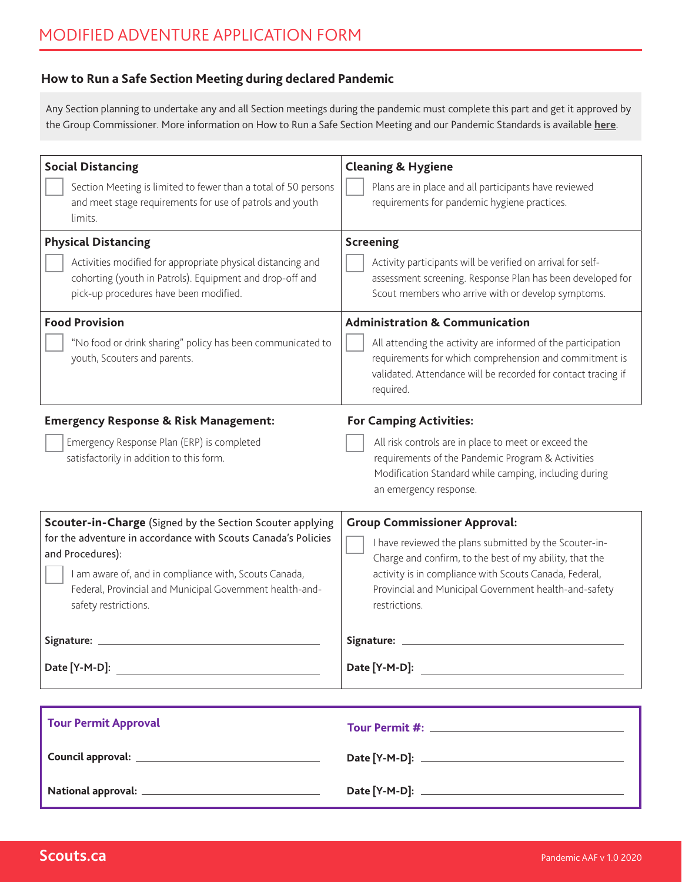## **How to Run a Safe Section Meeting during declared Pandemic**

Any Section planning to undertake any and all Section meetings during the pandemic must complete this part and get it approved by the Group Commissioner. More information on How to Run a Safe Section Meeting and our Pandemic Standards is available **[here](https://www.scouts.ca/news-and-events/overview.html)**.

| <b>Social Distancing</b><br>Section Meeting is limited to fewer than a total of 50 persons<br>and meet stage requirements for use of patrols and youth<br>limits.<br><b>Physical Distancing</b><br>Activities modified for appropriate physical distancing and<br>cohorting (youth in Patrols). Equipment and drop-off and | <b>Cleaning &amp; Hygiene</b><br>Plans are in place and all participants have reviewed<br>requirements for pandemic hygiene practices.<br><b>Screening</b><br>Activity participants will be verified on arrival for self-<br>assessment screening. Response Plan has been developed for                 |
|----------------------------------------------------------------------------------------------------------------------------------------------------------------------------------------------------------------------------------------------------------------------------------------------------------------------------|---------------------------------------------------------------------------------------------------------------------------------------------------------------------------------------------------------------------------------------------------------------------------------------------------------|
| pick-up procedures have been modified.<br><b>Food Provision</b><br>"No food or drink sharing" policy has been communicated to<br>youth, Scouters and parents.                                                                                                                                                              | Scout members who arrive with or develop symptoms.<br><b>Administration &amp; Communication</b><br>All attending the activity are informed of the participation<br>requirements for which comprehension and commitment is<br>validated. Attendance will be recorded for contact tracing if<br>required. |
| <b>Emergency Response &amp; Risk Management:</b><br>Emergency Response Plan (ERP) is completed<br>satisfactorily in addition to this form.                                                                                                                                                                                 | <b>For Camping Activities:</b><br>All risk controls are in place to meet or exceed the<br>requirements of the Pandemic Program & Activities<br>Modification Standard while camping, including during<br>an emergency response.                                                                          |
| Scouter-in-Charge (Signed by the Section Scouter applying<br>for the adventure in accordance with Scouts Canada's Policies<br>and Procedures):<br>I am aware of, and in compliance with, Scouts Canada,<br>Federal, Provincial and Municipal Government health-and-<br>safety restrictions.                                | <b>Group Commissioner Approval:</b><br>I have reviewed the plans submitted by the Scouter-in-<br>Charge and confirm, to the best of my ability, that the<br>activity is in compliance with Scouts Canada, Federal,<br>Provincial and Municipal Government health-and-safety<br>restrictions.            |
| Signature:                                                                                                                                                                                                                                                                                                                 | Signature:                                                                                                                                                                                                                                                                                              |
| <b>Tour Permit Approval</b>                                                                                                                                                                                                                                                                                                |                                                                                                                                                                                                                                                                                                         |
|                                                                                                                                                                                                                                                                                                                            |                                                                                                                                                                                                                                                                                                         |